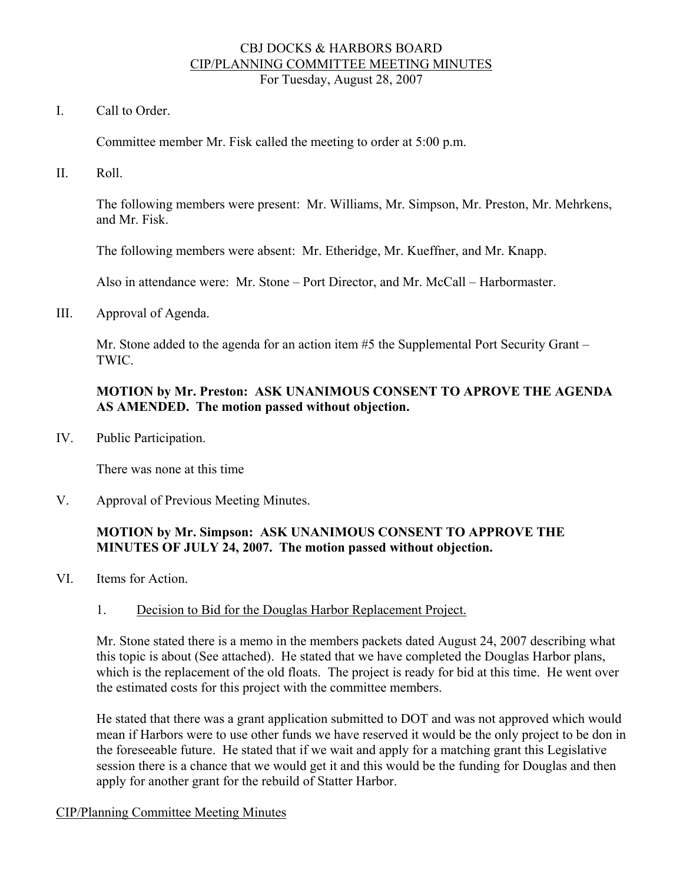### CBJ DOCKS & HARBORS BOARD CIP/PLANNING COMMITTEE MEETING MINUTES For Tuesday, August 28, 2007

I. Call to Order.

Committee member Mr. Fisk called the meeting to order at 5:00 p.m.

II. Roll.

The following members were present: Mr. Williams, Mr. Simpson, Mr. Preston, Mr. Mehrkens, and Mr. Fisk.

The following members were absent: Mr. Etheridge, Mr. Kueffner, and Mr. Knapp.

Also in attendance were: Mr. Stone – Port Director, and Mr. McCall – Harbormaster.

III. Approval of Agenda.

Mr. Stone added to the agenda for an action item #5 the Supplemental Port Security Grant – TWIC.

## **MOTION by Mr. Preston: ASK UNANIMOUS CONSENT TO APROVE THE AGENDA AS AMENDED. The motion passed without objection.**

IV. Public Participation.

There was none at this time

V. Approval of Previous Meeting Minutes.

### **MOTION by Mr. Simpson: ASK UNANIMOUS CONSENT TO APPROVE THE MINUTES OF JULY 24, 2007. The motion passed without objection.**

VI. Items for Action.

#### 1. Decision to Bid for the Douglas Harbor Replacement Project.

Mr. Stone stated there is a memo in the members packets dated August 24, 2007 describing what this topic is about (See attached). He stated that we have completed the Douglas Harbor plans, which is the replacement of the old floats. The project is ready for bid at this time. He went over the estimated costs for this project with the committee members.

He stated that there was a grant application submitted to DOT and was not approved which would mean if Harbors were to use other funds we have reserved it would be the only project to be don in the foreseeable future. He stated that if we wait and apply for a matching grant this Legislative session there is a chance that we would get it and this would be the funding for Douglas and then apply for another grant for the rebuild of Statter Harbor.

#### CIP/Planning Committee Meeting Minutes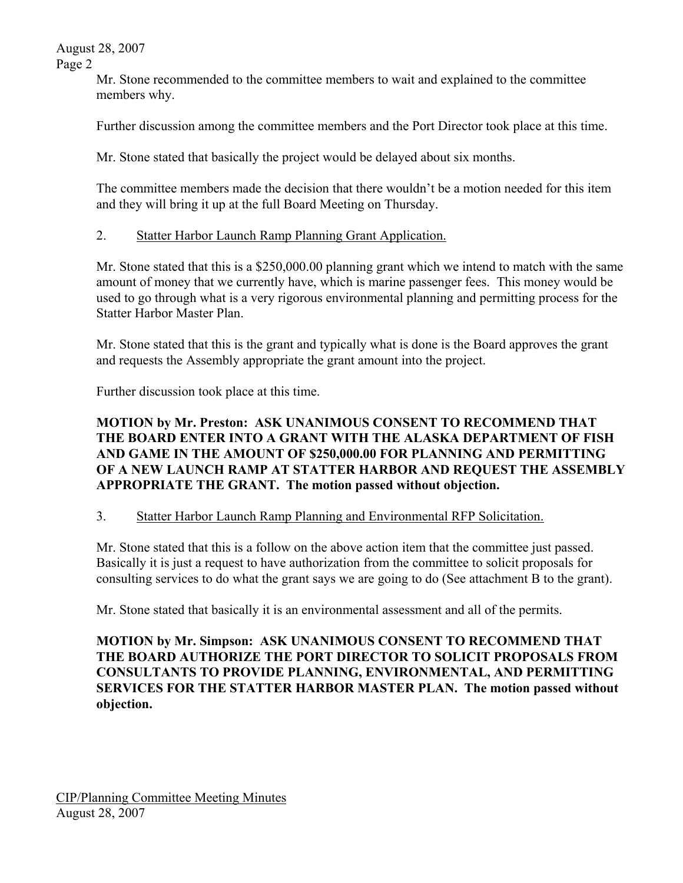August 28, 2007

Page 2

Mr. Stone recommended to the committee members to wait and explained to the committee members why.

Further discussion among the committee members and the Port Director took place at this time.

Mr. Stone stated that basically the project would be delayed about six months.

The committee members made the decision that there wouldn't be a motion needed for this item and they will bring it up at the full Board Meeting on Thursday.

# 2. Statter Harbor Launch Ramp Planning Grant Application.

Mr. Stone stated that this is a \$250,000.00 planning grant which we intend to match with the same amount of money that we currently have, which is marine passenger fees. This money would be used to go through what is a very rigorous environmental planning and permitting process for the Statter Harbor Master Plan.

Mr. Stone stated that this is the grant and typically what is done is the Board approves the grant and requests the Assembly appropriate the grant amount into the project.

Further discussion took place at this time.

## **MOTION by Mr. Preston: ASK UNANIMOUS CONSENT TO RECOMMEND THAT THE BOARD ENTER INTO A GRANT WITH THE ALASKA DEPARTMENT OF FISH AND GAME IN THE AMOUNT OF \$250,000.00 FOR PLANNING AND PERMITTING OF A NEW LAUNCH RAMP AT STATTER HARBOR AND REQUEST THE ASSEMBLY APPROPRIATE THE GRANT. The motion passed without objection.**

## 3. Statter Harbor Launch Ramp Planning and Environmental RFP Solicitation.

Mr. Stone stated that this is a follow on the above action item that the committee just passed. Basically it is just a request to have authorization from the committee to solicit proposals for consulting services to do what the grant says we are going to do (See attachment B to the grant).

Mr. Stone stated that basically it is an environmental assessment and all of the permits.

**MOTION by Mr. Simpson: ASK UNANIMOUS CONSENT TO RECOMMEND THAT THE BOARD AUTHORIZE THE PORT DIRECTOR TO SOLICIT PROPOSALS FROM CONSULTANTS TO PROVIDE PLANNING, ENVIRONMENTAL, AND PERMITTING SERVICES FOR THE STATTER HARBOR MASTER PLAN. The motion passed without objection.**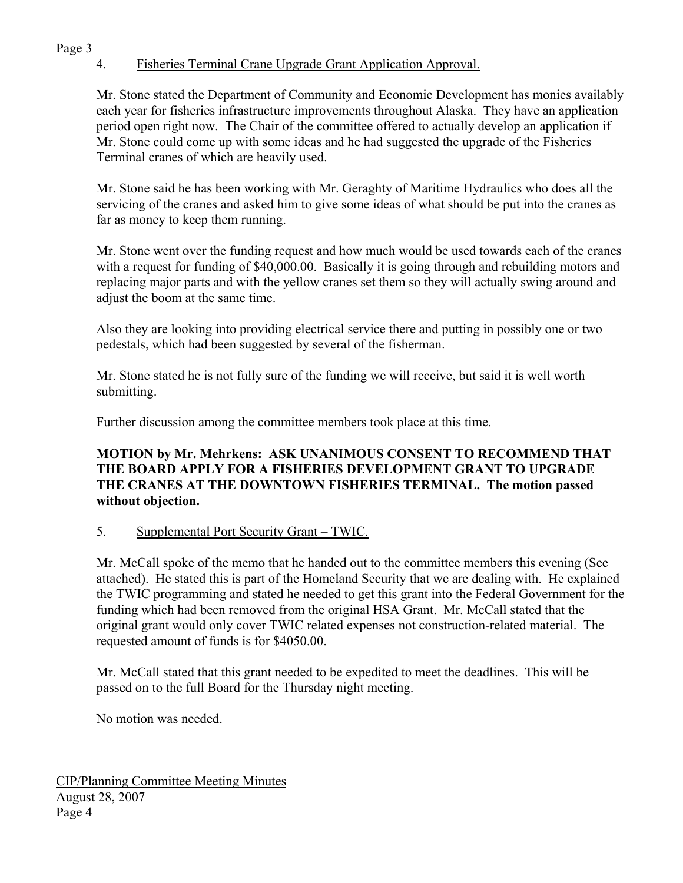#### Page 3 4. Fisheries Terminal Crane Upgrade Grant Application Approval.

Mr. Stone stated the Department of Community and Economic Development has monies availably each year for fisheries infrastructure improvements throughout Alaska. They have an application period open right now. The Chair of the committee offered to actually develop an application if Mr. Stone could come up with some ideas and he had suggested the upgrade of the Fisheries Terminal cranes of which are heavily used.

Mr. Stone said he has been working with Mr. Geraghty of Maritime Hydraulics who does all the servicing of the cranes and asked him to give some ideas of what should be put into the cranes as far as money to keep them running.

Mr. Stone went over the funding request and how much would be used towards each of the cranes with a request for funding of \$40,000.00. Basically it is going through and rebuilding motors and replacing major parts and with the yellow cranes set them so they will actually swing around and adjust the boom at the same time.

Also they are looking into providing electrical service there and putting in possibly one or two pedestals, which had been suggested by several of the fisherman.

Mr. Stone stated he is not fully sure of the funding we will receive, but said it is well worth submitting.

Further discussion among the committee members took place at this time.

## **MOTION by Mr. Mehrkens: ASK UNANIMOUS CONSENT TO RECOMMEND THAT THE BOARD APPLY FOR A FISHERIES DEVELOPMENT GRANT TO UPGRADE THE CRANES AT THE DOWNTOWN FISHERIES TERMINAL. The motion passed without objection.**

## 5. Supplemental Port Security Grant – TWIC.

Mr. McCall spoke of the memo that he handed out to the committee members this evening (See attached). He stated this is part of the Homeland Security that we are dealing with. He explained the TWIC programming and stated he needed to get this grant into the Federal Government for the funding which had been removed from the original HSA Grant. Mr. McCall stated that the original grant would only cover TWIC related expenses not construction-related material. The requested amount of funds is for \$4050.00.

Mr. McCall stated that this grant needed to be expedited to meet the deadlines. This will be passed on to the full Board for the Thursday night meeting.

No motion was needed.

CIP/Planning Committee Meeting Minutes August 28, 2007 Page 4